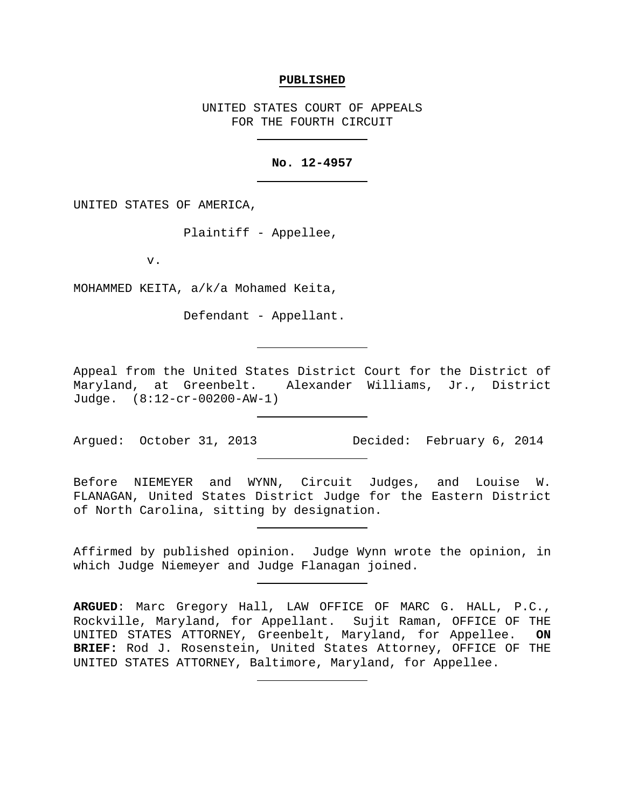#### **PUBLISHED**

UNITED STATES COURT OF APPEALS FOR THE FOURTH CIRCUIT

### **No. 12-4957**

UNITED STATES OF AMERICA,

Plaintiff - Appellee,

v.

MOHAMMED KEITA, a/k/a Mohamed Keita,

Defendant - Appellant.

Appeal from the United States District Court for the District of Maryland, at Greenbelt. Alexander Williams, Jr., District Judge. (8:12-cr-00200-AW-1)

Argued: October 31, 2013 Decided: February 6, 2014

Before NIEMEYER and WYNN, Circuit Judges, and Louise W. FLANAGAN, United States District Judge for the Eastern District of North Carolina, sitting by designation.

Affirmed by published opinion. Judge Wynn wrote the opinion, in which Judge Niemeyer and Judge Flanagan joined.

**ARGUED**: Marc Gregory Hall, LAW OFFICE OF MARC G. HALL, P.C., Rockville, Maryland, for Appellant. Sujit Raman, OFFICE OF THE<br>UNITED STATES ATTORNEY, Greenbelt, Maryland, for Appellee. ON UNITED STATES ATTORNEY, Greenbelt, Maryland, for Appellee. **BRIEF:** Rod J. Rosenstein, United States Attorney, OFFICE OF THE UNITED STATES ATTORNEY, Baltimore, Maryland, for Appellee.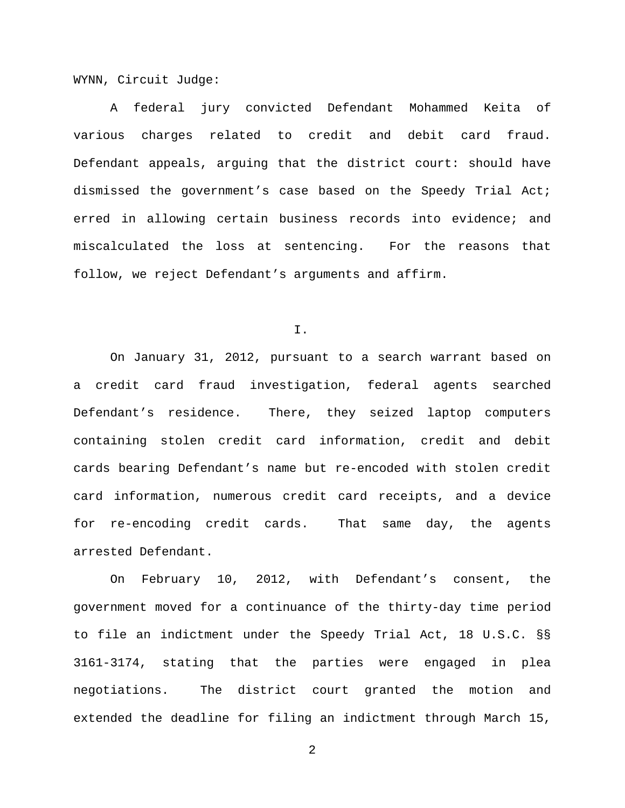WYNN, Circuit Judge:

A federal jury convicted Defendant Mohammed Keita of various charges related to credit and debit card fraud. Defendant appeals, arguing that the district court: should have dismissed the government's case based on the Speedy Trial Act; erred in allowing certain business records into evidence; and miscalculated the loss at sentencing. For the reasons that follow, we reject Defendant's arguments and affirm.

I.

On January 31, 2012, pursuant to a search warrant based on a credit card fraud investigation, federal agents searched Defendant's residence. There, they seized laptop computers containing stolen credit card information, credit and debit cards bearing Defendant's name but re-encoded with stolen credit card information, numerous credit card receipts, and a device for re-encoding credit cards. That same day, the agents arrested Defendant.

On February 10, 2012, with Defendant's consent, the government moved for a continuance of the thirty-day time period to file an indictment under the Speedy Trial Act, 18 U.S.C. §§ 3161-3174, stating that the parties were engaged in plea negotiations. The district court granted the motion and extended the deadline for filing an indictment through March 15,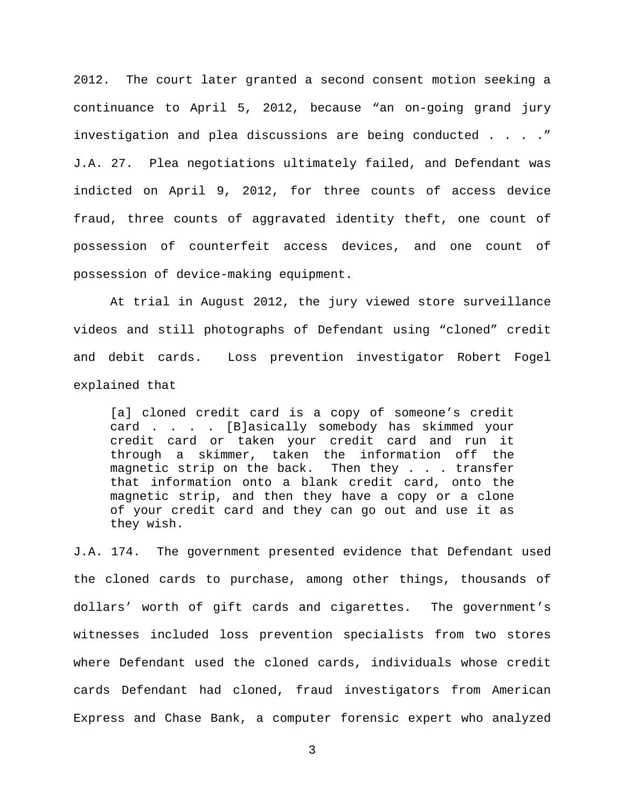2012. The court later granted a second consent motion seeking a continuance to April 5, 2012, because "an on-going grand jury investigation and plea discussions are being conducted . . . ." J.A. 27. Plea negotiations ultimately failed, and Defendant was indicted on April 9, 2012, for three counts of access device fraud, three counts of aggravated identity theft, one count of possession of counterfeit access devices, and one count of possession of device-making equipment.

At trial in August 2012, the jury viewed store surveillance videos and still photographs of Defendant using "cloned" credit and debit cards. Loss prevention investigator Robert Fogel explained that

[a] cloned credit card is a copy of someone's credit card . . . . [B]asically somebody has skimmed your credit card or taken your credit card and run it through a skimmer, taken the information off the<br>magnetic strip on the back. Then they . . . transfer magnetic strip on the back. that information onto a blank credit card, onto the magnetic strip, and then they have a copy or a clone of your credit card and they can go out and use it as they wish.

J.A. 174. The government presented evidence that Defendant used the cloned cards to purchase, among other things, thousands of dollars' worth of gift cards and cigarettes. The government's witnesses included loss prevention specialists from two stores where Defendant used the cloned cards, individuals whose credit cards Defendant had cloned, fraud investigators from American Express and Chase Bank, a computer forensic expert who analyzed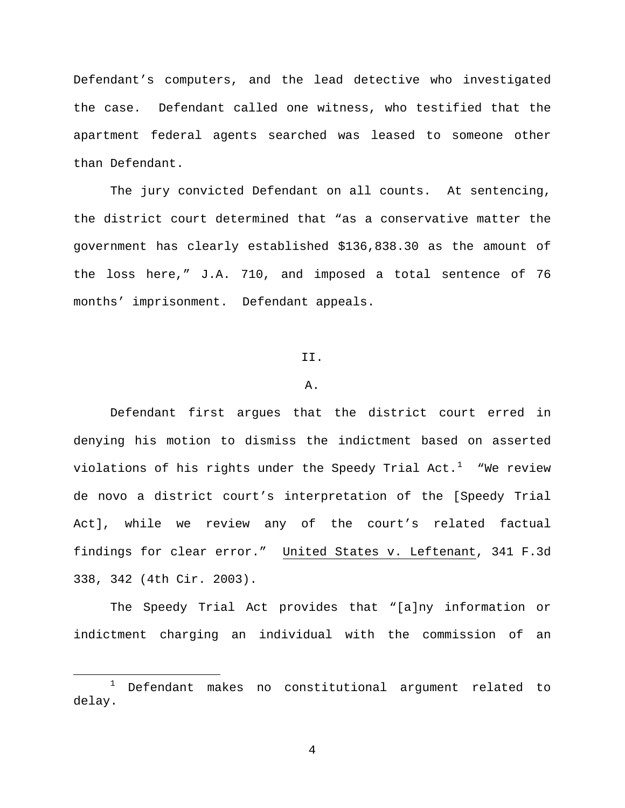Defendant's computers, and the lead detective who investigated the case. Defendant called one witness, who testified that the apartment federal agents searched was leased to someone other than Defendant.

The jury convicted Defendant on all counts. At sentencing, the district court determined that "as a conservative matter the government has clearly established \$136,838.30 as the amount of the loss here," J.A. 710, and imposed a total sentence of 76 months' imprisonment. Defendant appeals.

#### II.

#### A.

Defendant first argues that the district court erred in denying his motion to dismiss the indictment based on asserted violations of his rights under the Speedy Trial Act. $^1$  $^1$   $\,$  "We review de novo a district court's interpretation of the [Speedy Trial Act], while we review any of the court's related factual findings for clear error." United States v. Leftenant, 341 F.3d 338, 342 (4th Cir. 2003).

The Speedy Trial Act provides that "[a]ny information or indictment charging an individual with the commission of an

<span id="page-3-0"></span> <sup>1</sup> Defendant makes no constitutional argument related to delay.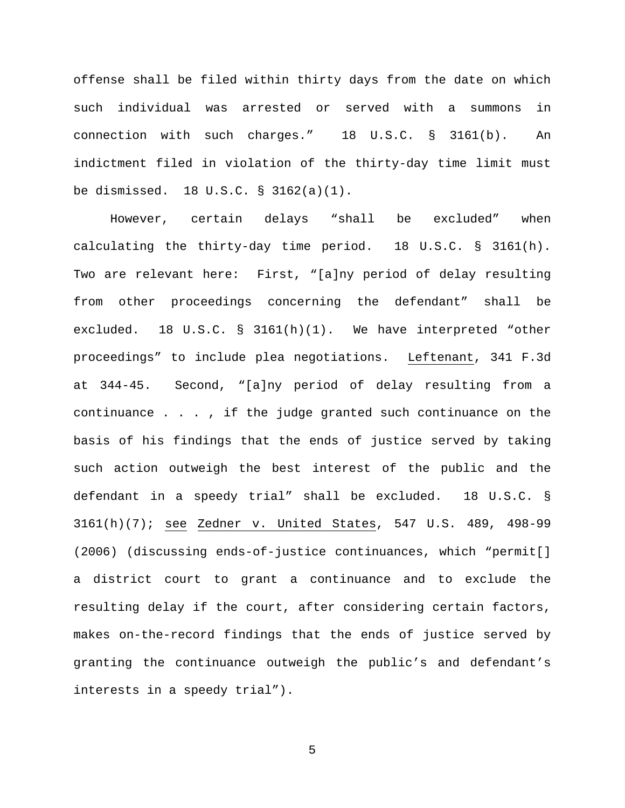offense shall be filed within thirty days from the date on which such individual was arrested or served with a summons in connection with such charges." 18 U.S.C. § 3161(b). An indictment filed in violation of the thirty-day time limit must be dismissed. 18 U.S.C. § 3162(a)(1).

However, certain delays "shall be excluded" when calculating the thirty-day time period. 18 U.S.C. § 3161(h). Two are relevant here: First, "[a]ny period of delay resulting from other proceedings concerning the defendant" shall be excluded. 18 U.S.C. § 3161(h)(1). We have interpreted "other proceedings" to include plea negotiations. Leftenant, 341 F.3d at 344-45. Second, "[a]ny period of delay resulting from a continuance . . . , if the judge granted such continuance on the basis of his findings that the ends of justice served by taking such action outweigh the best interest of the public and the defendant in a speedy trial" shall be excluded. 18 U.S.C. § 3161(h)(7); see Zedner v. United States, 547 U.S. 489, 498-99 (2006) (discussing ends-of-justice continuances, which "permit[] a district court to grant a continuance and to exclude the resulting delay if the court, after considering certain factors, makes on-the-record findings that the ends of justice served by granting the continuance outweigh the public's and defendant's interests in a speedy trial").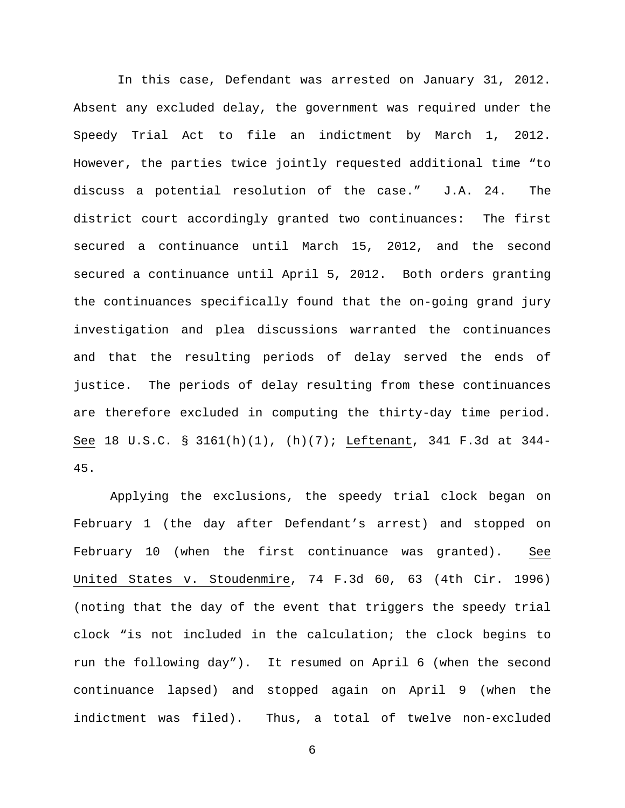In this case, Defendant was arrested on January 31, 2012. Absent any excluded delay, the government was required under the Speedy Trial Act to file an indictment by March 1, 2012. However, the parties twice jointly requested additional time "to discuss a potential resolution of the case." J.A. 24. The district court accordingly granted two continuances: The first secured a continuance until March 15, 2012, and the second secured a continuance until April 5, 2012. Both orders granting the continuances specifically found that the on-going grand jury investigation and plea discussions warranted the continuances and that the resulting periods of delay served the ends of justice. The periods of delay resulting from these continuances are therefore excluded in computing the thirty-day time period. See 18 U.S.C. § 3161(h)(1), (h)(7); Leftenant, 341 F.3d at 344- 45.

Applying the exclusions, the speedy trial clock began on February 1 (the day after Defendant's arrest) and stopped on February 10 (when the first continuance was granted). See United States v. Stoudenmire, 74 F.3d 60, 63 (4th Cir. 1996) (noting that the day of the event that triggers the speedy trial clock "is not included in the calculation; the clock begins to run the following day"). It resumed on April 6 (when the second continuance lapsed) and stopped again on April 9 (when the indictment was filed). Thus, a total of twelve non-excluded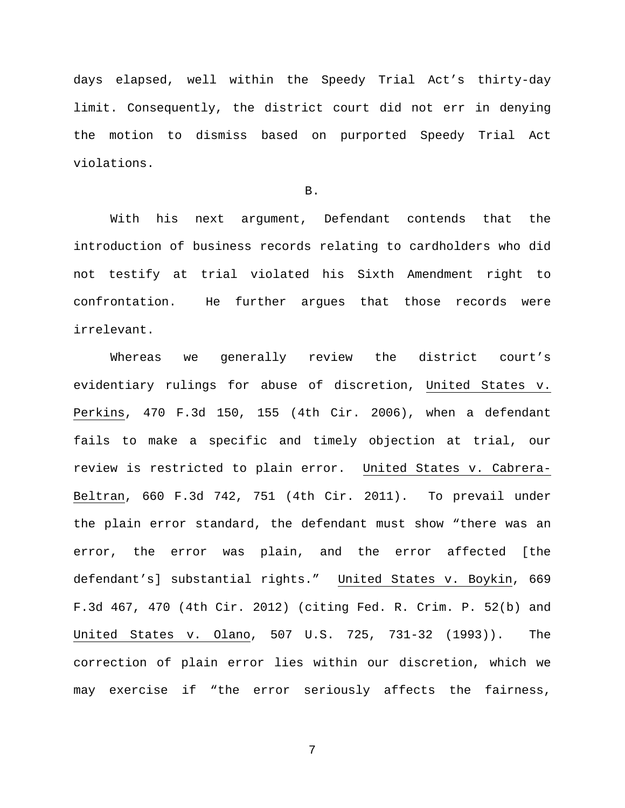days elapsed, well within the Speedy Trial Act's thirty-day limit. Consequently, the district court did not err in denying the motion to dismiss based on purported Speedy Trial Act violations.

B.

With his next argument, Defendant contends that the introduction of business records relating to cardholders who did not testify at trial violated his Sixth Amendment right to confrontation. He further argues that those records were irrelevant.

Whereas we generally review the district court's evidentiary rulings for abuse of discretion, United States v. Perkins, 470 F.3d 150, 155 (4th Cir. 2006), when a defendant fails to make a specific and timely objection at trial, our review is restricted to plain error. United States v. Cabrera-Beltran, 660 F.3d 742, 751 (4th Cir. 2011). To prevail under the plain error standard, the defendant must show "there was an error, the error was plain, and the error affected [the defendant's] substantial rights." United States v. Boykin, 669 F.3d 467, 470 (4th Cir. 2012) (citing Fed. R. Crim. P. 52(b) and United States v. Olano, 507 U.S. 725, 731-32 (1993)). The correction of plain error lies within our discretion, which we may exercise if "the error seriously affects the fairness,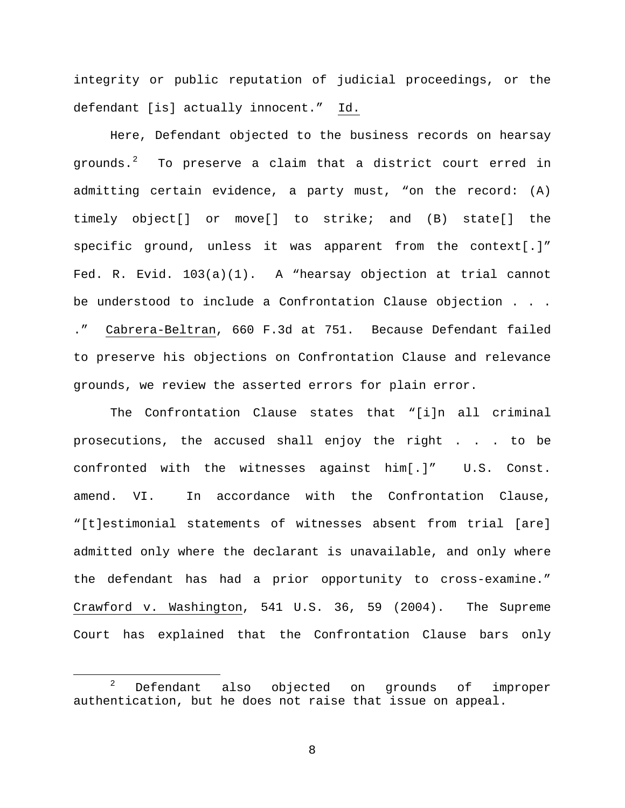integrity or public reputation of judicial proceedings, or the defendant [is] actually innocent." Id.

Here, Defendant objected to the business records on hearsay grounds. $^2$  $^2$  To preserve a claim that a district court erred in admitting certain evidence, a party must, "on the record: (A) timely object[] or move[] to strike; and (B) state[] the specific ground, unless it was apparent from the context[.]" Fed. R. Evid. 103(a)(1). A "hearsay objection at trial cannot be understood to include a Confrontation Clause objection . . . ." Cabrera-Beltran, 660 F.3d at 751. Because Defendant failed to preserve his objections on Confrontation Clause and relevance grounds, we review the asserted errors for plain error.

The Confrontation Clause states that "[i]n all criminal prosecutions, the accused shall enjoy the right . . . to be confronted with the witnesses against him[.]" U.S. Const. amend. VI. In accordance with the Confrontation Clause, "[t]estimonial statements of witnesses absent from trial [are] admitted only where the declarant is unavailable, and only where the defendant has had a prior opportunity to cross-examine." Crawford v. Washington, 541 U.S. 36, 59 (2004). The Supreme Court has explained that the Confrontation Clause bars only

<span id="page-7-0"></span><sup>&</sup>lt;sup>2</sup> Defendant also objected on grounds of improper authentication, but he does not raise that issue on appeal.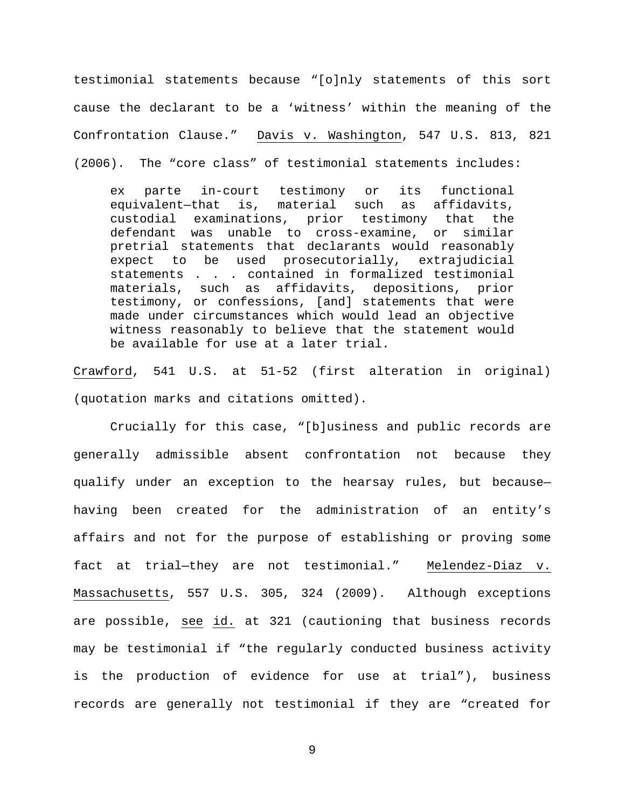testimonial statements because "[o]nly statements of this sort cause the declarant to be a 'witness' within the meaning of the Confrontation Clause." Davis v. Washington, 547 U.S. 813, 821 (2006). The "core class" of testimonial statements includes:

ex parte in-court testimony or its functional<br>equivalent-that is, material such as affidavits, equivalent-that is, material such as custodial examinations, prior testimony that the defendant was unable to cross-examine, or similar pretrial statements that declarants would reasonably expect to be used prosecutorially, extrajudicial statements . . . contained in formalized testimonial materials, such as affidavits, depositions, prior testimony, or confessions, [and] statements that were made under circumstances which would lead an objective witness reasonably to believe that the statement would be available for use at a later trial.

Crawford, 541 U.S. at 51-52 (first alteration in original) (quotation marks and citations omitted).

Crucially for this case, "[b]usiness and public records are generally admissible absent confrontation not because they qualify under an exception to the hearsay rules, but because having been created for the administration of an entity's affairs and not for the purpose of establishing or proving some fact at trial—they are not testimonial." Melendez-Diaz v. Massachusetts, 557 U.S. 305, 324 (2009). Although exceptions are possible, see id. at 321 (cautioning that business records may be testimonial if "the regularly conducted business activity is the production of evidence for use at trial"), business records are generally not testimonial if they are "created for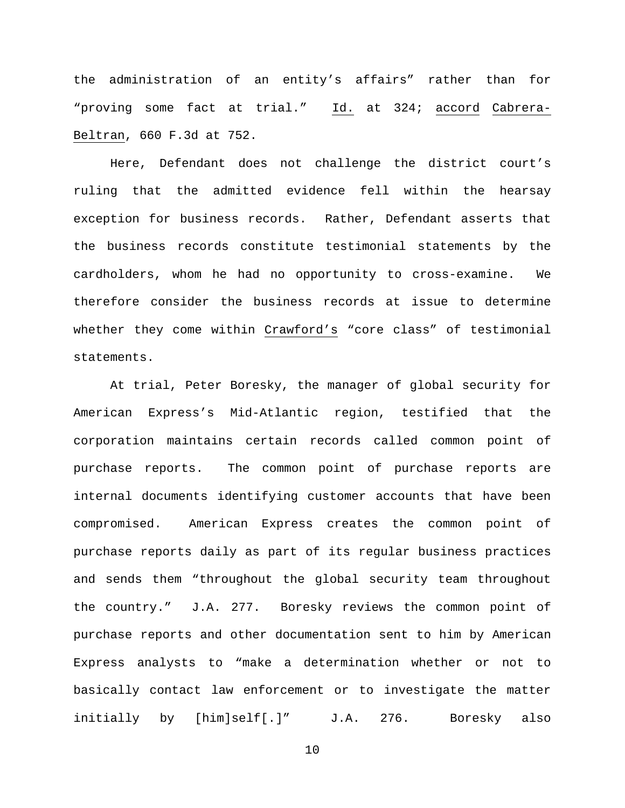the administration of an entity's affairs" rather than for "proving some fact at trial." Id. at 324; accord Cabrera-Beltran, 660 F.3d at 752.

Here, Defendant does not challenge the district court's ruling that the admitted evidence fell within the hearsay exception for business records. Rather, Defendant asserts that the business records constitute testimonial statements by the cardholders, whom he had no opportunity to cross-examine. We therefore consider the business records at issue to determine whether they come within Crawford's "core class" of testimonial statements.

At trial, Peter Boresky, the manager of global security for American Express's Mid-Atlantic region, testified that the corporation maintains certain records called common point of purchase reports. The common point of purchase reports are internal documents identifying customer accounts that have been compromised. American Express creates the common point of purchase reports daily as part of its regular business practices and sends them "throughout the global security team throughout the country." J.A. 277. Boresky reviews the common point of purchase reports and other documentation sent to him by American Express analysts to "make a determination whether or not to basically contact law enforcement or to investigate the matter initially by [him]self[.]" J.A. 276. Boresky also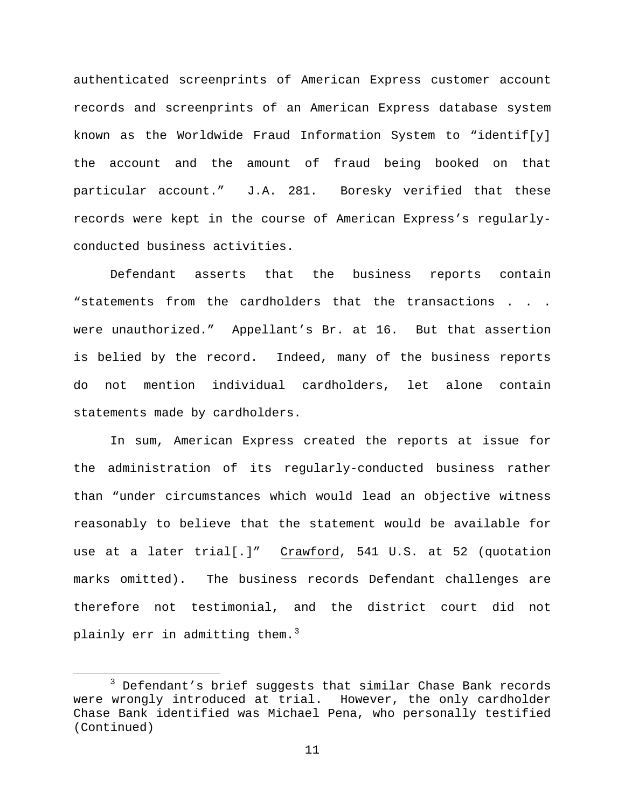authenticated screenprints of American Express customer account records and screenprints of an American Express database system known as the Worldwide Fraud Information System to "identif[y] the account and the amount of fraud being booked on that particular account." J.A. 281. Boresky verified that these records were kept in the course of American Express's regularlyconducted business activities.

Defendant asserts that the business reports contain "statements from the cardholders that the transactions . . . were unauthorized." Appellant's Br. at 16. But that assertion is belied by the record. Indeed, many of the business reports do not mention individual cardholders, let alone contain statements made by cardholders.

In sum, American Express created the reports at issue for the administration of its regularly-conducted business rather than "under circumstances which would lead an objective witness reasonably to believe that the statement would be available for use at a later trial[.]" Crawford, 541 U.S. at 52 (quotation marks omitted). The business records Defendant challenges are therefore not testimonial, and the district court did not plainly err in admitting them. $^3$  $^3$ 

<span id="page-10-0"></span><sup>&</sup>lt;sup>3</sup> Defendant's brief suggests that similar Chase Bank records were wrongly introduced at trial. However, the only cardholder Chase Bank identified was Michael Pena, who personally testified (Continued)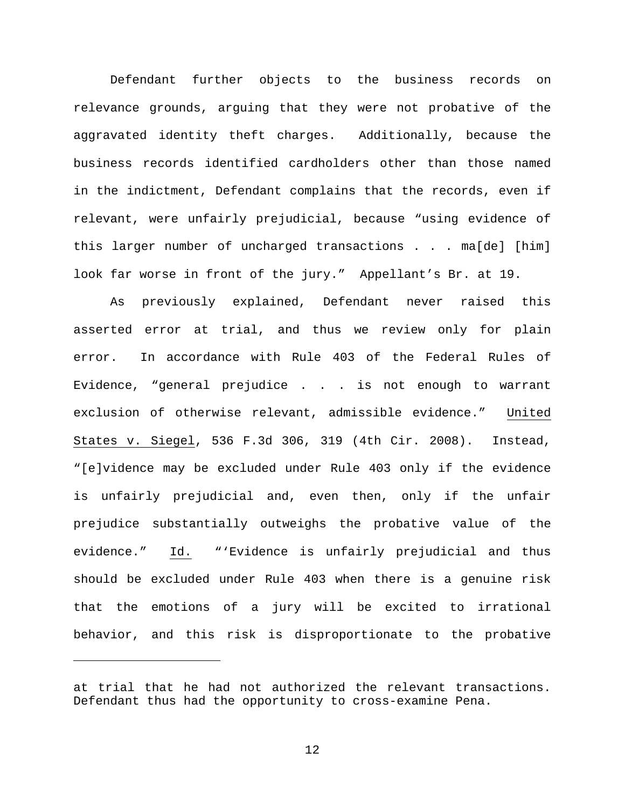Defendant further objects to the business records on relevance grounds, arguing that they were not probative of the aggravated identity theft charges. Additionally, because the business records identified cardholders other than those named in the indictment, Defendant complains that the records, even if relevant, were unfairly prejudicial, because "using evidence of this larger number of uncharged transactions . . . ma[de] [him] look far worse in front of the jury." Appellant's Br. at 19.

As previously explained, Defendant never raised this asserted error at trial, and thus we review only for plain error. In accordance with Rule 403 of the Federal Rules of Evidence, "general prejudice . . . is not enough to warrant exclusion of otherwise relevant, admissible evidence." United States v. Siegel, 536 F.3d 306, 319 (4th Cir. 2008). Instead, "[e]vidence may be excluded under Rule 403 only if the evidence is unfairly prejudicial and, even then, only if the unfair prejudice substantially outweighs the probative value of the evidence." Id. "'Evidence is unfairly prejudicial and thus should be excluded under Rule 403 when there is a genuine risk that the emotions of a jury will be excited to irrational behavior, and this risk is disproportionate to the probative

ī

at trial that he had not authorized the relevant transactions. Defendant thus had the opportunity to cross-examine Pena.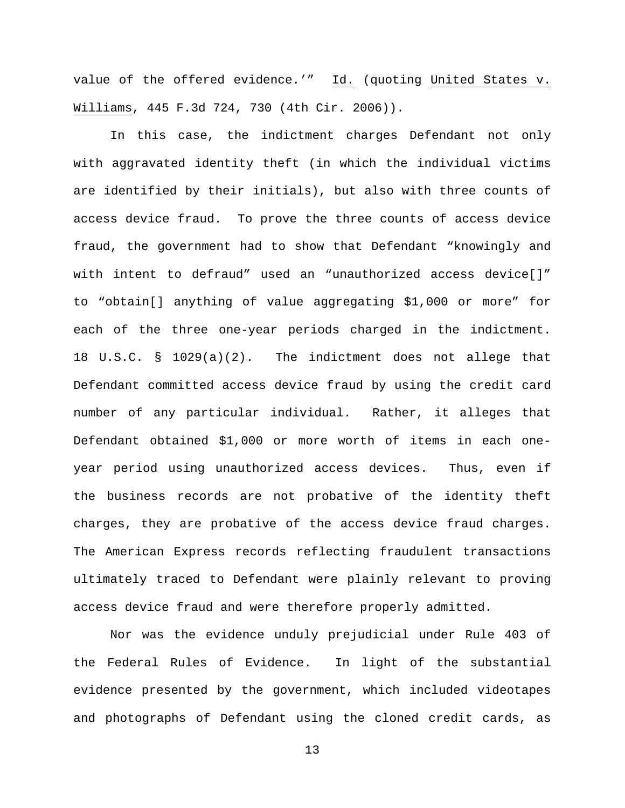value of the offered evidence.'" Id. (quoting United States v. Williams, 445 F.3d 724, 730 (4th Cir. 2006)).

In this case, the indictment charges Defendant not only with aggravated identity theft (in which the individual victims are identified by their initials), but also with three counts of access device fraud. To prove the three counts of access device fraud, the government had to show that Defendant "knowingly and with intent to defraud" used an "unauthorized access device[]" to "obtain[] anything of value aggregating \$1,000 or more" for each of the three one-year periods charged in the indictment. 18 U.S.C. § 1029(a)(2). The indictment does not allege that Defendant committed access device fraud by using the credit card number of any particular individual. Rather, it alleges that Defendant obtained \$1,000 or more worth of items in each oneyear period using unauthorized access devices. Thus, even if the business records are not probative of the identity theft charges, they are probative of the access device fraud charges. The American Express records reflecting fraudulent transactions ultimately traced to Defendant were plainly relevant to proving access device fraud and were therefore properly admitted.

Nor was the evidence unduly prejudicial under Rule 403 of the Federal Rules of Evidence. In light of the substantial evidence presented by the government, which included videotapes and photographs of Defendant using the cloned credit cards, as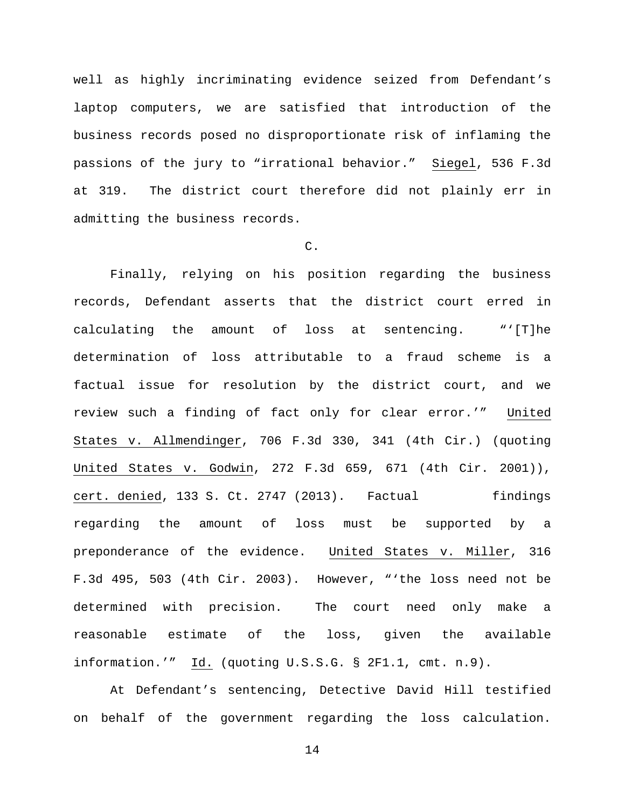well as highly incriminating evidence seized from Defendant's laptop computers, we are satisfied that introduction of the business records posed no disproportionate risk of inflaming the passions of the jury to "irrational behavior." Siegel, 536 F.3d at 319. The district court therefore did not plainly err in admitting the business records.

## C.

Finally, relying on his position regarding the business records, Defendant asserts that the district court erred in calculating the amount of loss at sentencing. "'[T]he determination of loss attributable to a fraud scheme is a factual issue for resolution by the district court, and we review such a finding of fact only for clear error.'" United States v. Allmendinger, 706 F.3d 330, 341 (4th Cir.) (quoting United States v. Godwin, 272 F.3d 659, 671 (4th Cir. 2001)), cert. denied, 133 S. Ct. 2747 (2013). Factual findings regarding the amount of loss must be supported by a preponderance of the evidence. United States v. Miller, 316 F.3d 495, 503 (4th Cir. 2003). However, "'the loss need not be determined with precision. The court need only make a reasonable estimate of the loss, given the available information.'" Id. (quoting U.S.S.G. § 2F1.1, cmt. n.9).

At Defendant's sentencing, Detective David Hill testified on behalf of the government regarding the loss calculation.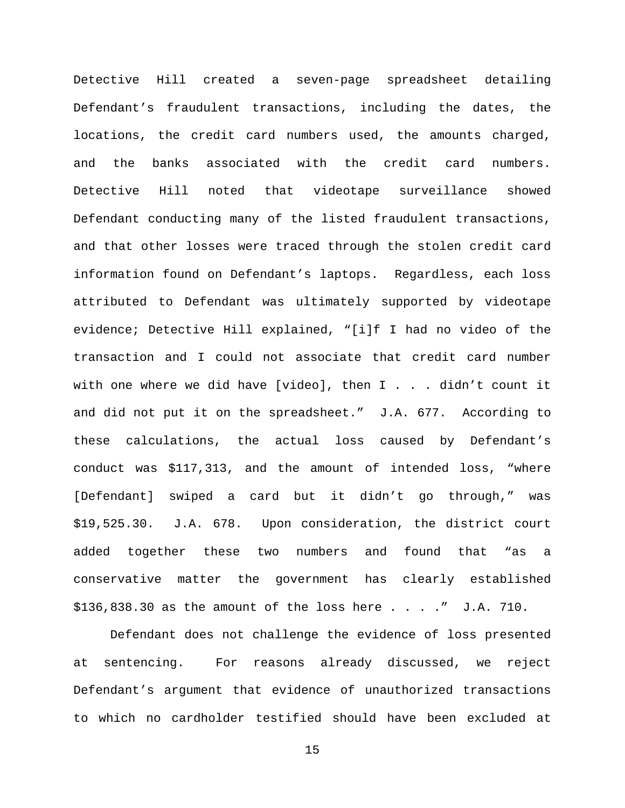Detective Hill created a seven-page spreadsheet detailing Defendant's fraudulent transactions, including the dates, the locations, the credit card numbers used, the amounts charged, and the banks associated with the credit card numbers. Detective Hill noted that videotape surveillance showed Defendant conducting many of the listed fraudulent transactions, and that other losses were traced through the stolen credit card information found on Defendant's laptops. Regardless, each loss attributed to Defendant was ultimately supported by videotape evidence; Detective Hill explained, "[i]f I had no video of the transaction and I could not associate that credit card number with one where we did have [video], then I . . . didn't count it and did not put it on the spreadsheet." J.A. 677. According to these calculations, the actual loss caused by Defendant's conduct was \$117,313, and the amount of intended loss, "where [Defendant] swiped a card but it didn't go through," was \$19,525.30. J.A. 678. Upon consideration, the district court added together these two numbers and found that "as a conservative matter the government has clearly established  $$136,838.30$  as the amount of the loss here  $\ldots$  . . " J.A. 710.

Defendant does not challenge the evidence of loss presented at sentencing. For reasons already discussed, we reject Defendant's argument that evidence of unauthorized transactions to which no cardholder testified should have been excluded at